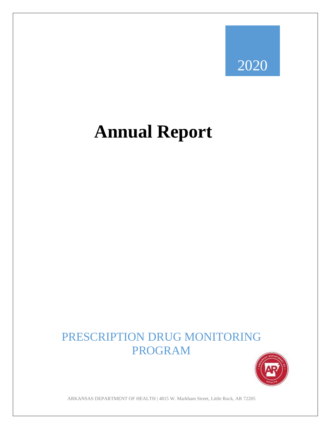## 2020

# **Annual Report**

## PRESCRIPTION DRUG MONITORING PROGRAM



ARKANSAS DEPARTMENT OF HEALTH | 4815 W. Markham Street, Little Rock, AR 72205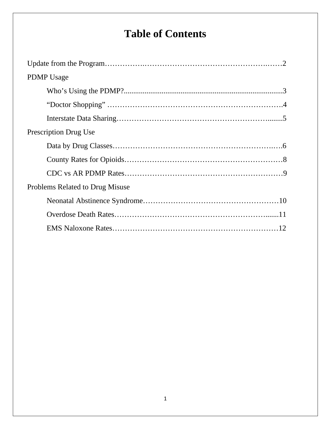## **Table of Contents**

| <b>PDMP</b> Usage               |  |
|---------------------------------|--|
|                                 |  |
|                                 |  |
|                                 |  |
| <b>Prescription Drug Use</b>    |  |
|                                 |  |
|                                 |  |
|                                 |  |
| Problems Related to Drug Misuse |  |
|                                 |  |
|                                 |  |
|                                 |  |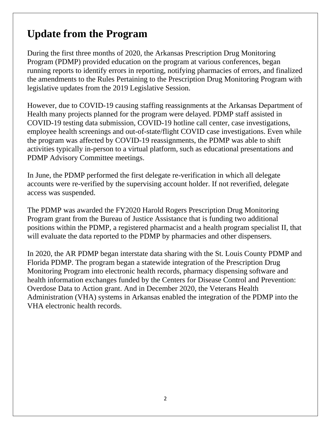### **Update from the Program**

During the first three months of 2020, the Arkansas Prescription Drug Monitoring Program (PDMP) provided education on the program at various conferences, began running reports to identify errors in reporting, notifying pharmacies of errors, and finalized the amendments to the Rules Pertaining to the Prescription Drug Monitoring Program with legislative updates from the 2019 Legislative Session.

However, due to COVID-19 causing staffing reassignments at the Arkansas Department of Health many projects planned for the program were delayed. PDMP staff assisted in COVID-19 testing data submission, COVID-19 hotline call center, case investigations, employee health screenings and out-of-state/flight COVID case investigations. Even while the program was affected by COVID-19 reassignments, the PDMP was able to shift activities typically in-person to a virtual platform, such as educational presentations and PDMP Advisory Committee meetings.

In June, the PDMP performed the first delegate re-verification in which all delegate accounts were re-verified by the supervising account holder. If not reverified, delegate access was suspended.

The PDMP was awarded the FY2020 Harold Rogers Prescription Drug Monitoring Program grant from the Bureau of Justice Assistance that is funding two additional positions within the PDMP, a registered pharmacist and a health program specialist II, that will evaluate the data reported to the PDMP by pharmacies and other dispensers.

In 2020, the AR PDMP began interstate data sharing with the St. Louis County PDMP and Florida PDMP. The program began a statewide integration of the Prescription Drug Monitoring Program into electronic health records, pharmacy dispensing software and health information exchanges funded by the Centers for Disease Control and Prevention: Overdose Data to Action grant. And in December 2020, the Veterans Health Administration (VHA) systems in Arkansas enabled the integration of the PDMP into the VHA electronic health records.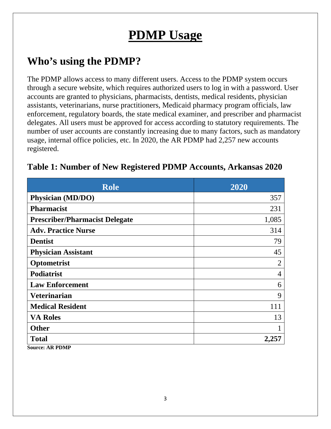## **PDMP Usage**

### **Who's using the PDMP?**

The PDMP allows access to many different users. Access to the PDMP system occurs through a secure website, which requires authorized users to log in with a password. User accounts are granted to physicians, pharmacists, dentists, medical residents, physician assistants, veterinarians, nurse practitioners, Medicaid pharmacy program officials, law enforcement, regulatory boards, the state medical examiner, and prescriber and pharmacist delegates. All users must be approved for access according to statutory requirements. The number of user accounts are constantly increasing due to many factors, such as mandatory usage, internal office policies, etc. In 2020, the AR PDMP had 2,257 new accounts registered.

| <b>Role</b>                           | 2020           |
|---------------------------------------|----------------|
| Physician (MD/DO)                     | 357            |
| <b>Pharmacist</b>                     | 231            |
| <b>Prescriber/Pharmacist Delegate</b> | 1,085          |
| <b>Adv. Practice Nurse</b>            | 314            |
| <b>Dentist</b>                        | 79             |
| <b>Physician Assistant</b>            | 45             |
| Optometrist                           | $\overline{2}$ |
| <b>Podiatrist</b>                     | 4              |
| <b>Law Enforcement</b>                | 6              |
| <b>Veterinarian</b>                   | 9              |
| <b>Medical Resident</b>               | 111            |
| <b>VA Roles</b>                       | 13             |
| <b>Other</b>                          |                |
| <b>Total</b>                          | 2,257          |
| <b>Source: AR PDMP</b>                |                |

#### **Table 1: Number of New Registered PDMP Accounts, Arkansas 2020**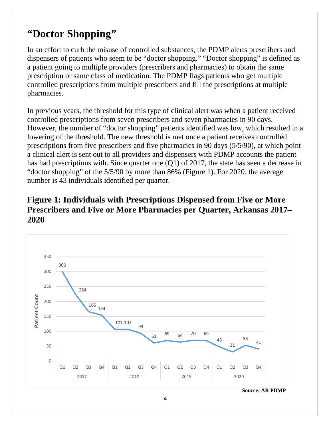#### **"Doctor Shopping"**

In an effort to curb the misuse of controlled substances, the PDMP alerts prescribers and dispensers of patients who seem to be "doctor shopping." "Doctor shopping" is defined as a patient going to multiple providers (prescribers and pharmacies) to obtain the same prescription or same class of medication. The PDMP flags patients who get multiple controlled prescriptions from multiple prescribers and fill the prescriptions at multiple pharmacies.

In previous years, the threshold for this type of clinical alert was when a patient received controlled prescriptions from seven prescribers and seven pharmacies in 90 days. However, the number of "doctor shopping" patients identified was low, which resulted in a lowering of the threshold. The new threshold is met once a patient receives controlled prescriptions from five prescribers and five pharmacies in 90 days (5/5/90), at which point a clinical alert is sent out to all providers and dispensers with PDMP accounts the patient has had prescriptions with. Since quarter one (Q1) of 2017, the state has seen a decrease in "doctor shopping" of the 5/5/90 by more than 86% (Figure 1). For 2020, the average number is 43 individuals identified per quarter.

#### **Figure 1: Individuals with Prescriptions Dispensed from Five or More Prescribers and Five or More Pharmacies per Quarter, Arkansas 2017– 2020**



 **Source: AR PDMP**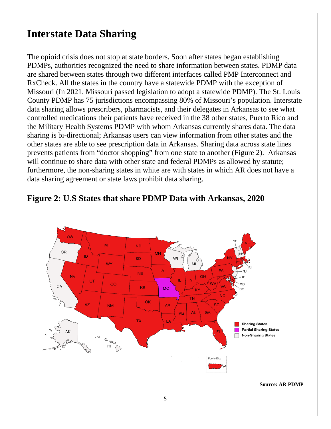#### **Interstate Data Sharing**

The opioid crisis does not stop at state borders. Soon after states began establishing PDMPs, authorities recognized the need to share information between states. PDMP data are shared between states through two different interfaces called PMP Interconnect and RxCheck. All the states in the country have a statewide PDMP with the exception of Missouri (In 2021, Missouri passed legislation to adopt a statewide PDMP). The St. Louis County PDMP has 75 jurisdictions encompassing 80% of Missouri's population. Interstate data sharing allows prescribers, pharmacists, and their delegates in Arkansas to see what controlled medications their patients have received in the 38 other states, Puerto Rico and the Military Health Systems PDMP with whom Arkansas currently shares data. The data sharing is bi-directional; Arkansas users can view information from other states and the other states are able to see prescription data in Arkansas. Sharing data across state lines prevents patients from "doctor shopping" from one state to another (Figure 2). Arkansas will continue to share data with other state and federal PDMPs as allowed by statute; furthermore, the non-sharing states in white are with states in which AR does not have a data sharing agreement or state laws prohibit data sharing.



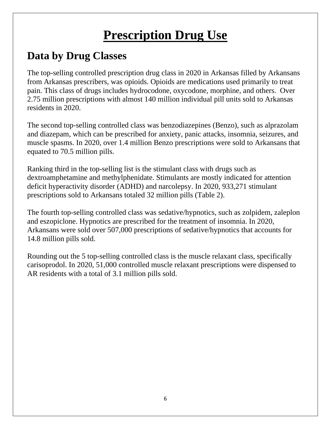## **Prescription Drug Use**

## **Data by Drug Classes**

The top-selling controlled prescription drug class in 2020 in Arkansas filled by Arkansans from Arkansas prescribers, was opioids. Opioids are medications used primarily to treat pain. This class of drugs includes hydrocodone, oxycodone, morphine, and others. Over 2.75 million prescriptions with almost 140 million individual pill units sold to Arkansas residents in 2020.

The second top-selling controlled class was benzodiazepines (Benzo), such as alprazolam and diazepam, which can be prescribed for anxiety, panic attacks, insomnia, seizures, and muscle spasms. In 2020, over 1.4 million Benzo prescriptions were sold to Arkansans that equated to 70.5 million pills.

Ranking third in the top-selling list is the stimulant class with drugs such as dextroamphetamine and methylphenidate. Stimulants are mostly indicated for attention deficit hyperactivity disorder (ADHD) and narcolepsy. In 2020, 933,271 stimulant prescriptions sold to Arkansans totaled 32 million pills (Table 2).

The fourth top-selling controlled class was sedative/hypnotics, such as zolpidem, zaleplon and eszopiclone. Hypnotics are prescribed for the treatment of insomnia. In 2020, Arkansans were sold over 507,000 prescriptions of sedative/hypnotics that accounts for 14.8 million pills sold.

Rounding out the 5 top-selling controlled class is the muscle relaxant class, specifically carisoprodol. In 2020, 51,000 controlled muscle relaxant prescriptions were dispensed to AR residents with a total of 3.1 million pills sold.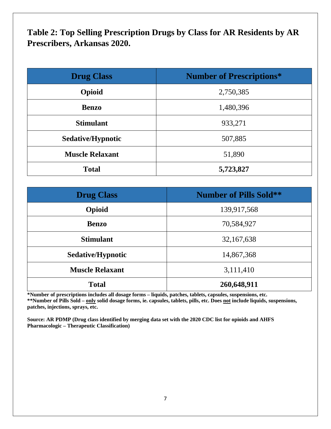**Table 2: Top Selling Prescription Drugs by Class for AR Residents by AR Prescribers, Arkansas 2020.** 

| <b>Drug Class</b>      | <b>Number of Prescriptions*</b> |
|------------------------|---------------------------------|
| Opioid                 | 2,750,385                       |
| <b>Benzo</b>           | 1,480,396                       |
| <b>Stimulant</b>       | 933,271                         |
| Sedative/Hypnotic      | 507,885                         |
| <b>Muscle Relaxant</b> | 51,890                          |
| <b>Total</b>           | 5,723,827                       |

| <b>Drug Class</b>      | <b>Number of Pills Sold**</b> |
|------------------------|-------------------------------|
| Opioid                 | 139,917,568                   |
| <b>Benzo</b>           | 70,584,927                    |
| <b>Stimulant</b>       | 32, 167, 638                  |
| Sedative/Hypnotic      | 14,867,368                    |
| <b>Muscle Relaxant</b> | 3,111,410                     |
| <b>Total</b>           | 260,648,911                   |

**\*Number of prescriptions includes all dosage forms – liquids, patches, tablets, capsules, suspensions, etc. \*\*Number of Pills Sold – only solid dosage forms, ie. capsules, tablets, pills, etc. Does not include liquids, suspensions, patches, injections, sprays, etc.** 

**Source: AR PDMP (Drug class identified by merging data set with the 2020 CDC list for opioids and AHFS Pharmacologic – Therapeutic Classification)**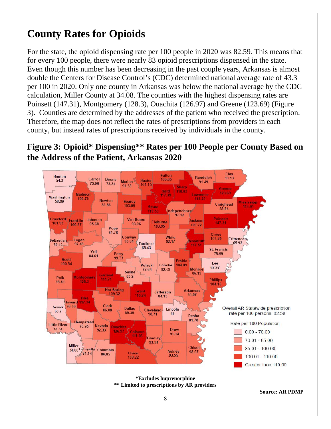### **County Rates for Opioids**

For the state, the opioid dispensing rate per 100 people in 2020 was 82.59. This means that for every 100 people, there were nearly 83 opioid prescriptions dispensed in the state. Even though this number has been decreasing in the past couple years, Arkansas is almost double the Centers for Disease Control's (CDC) determined national average rate of 43.3 per 100 in 2020. Only one county in Arkansas was below the national average by the CDC calculation, Miller County at 34.08. The counties with the highest dispensing rates are Poinsett (147.31), Montgomery (128.3), Ouachita (126.97) and Greene (123.69) (Figure 3). Counties are determined by the addresses of the patient who received the prescription. Therefore, the map does not reflect the rates of prescriptions from providers in each county, but instead rates of prescriptions received by individuals in the county.

#### **Figure 3: Opioid\* Dispensing\*\* Rates per 100 People per County Based on the Address of the Patient, Arkansas 2020**



**\*Excludes buprenorphine \*\* Limited to prescriptions by AR providers**

**Source: AR PDMP**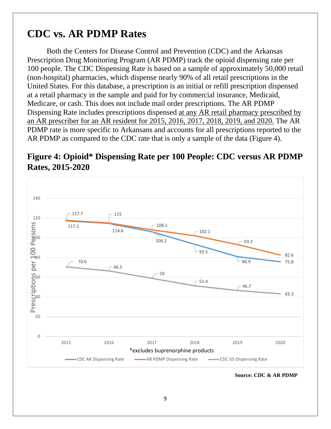#### **CDC vs. AR PDMP Rates**

Both the Centers for Disease Control and Prevention (CDC) and the Arkansas Prescription Drug Monitoring Program (AR PDMP) track the opioid dispensing rate per 100 people. The CDC Dispensing Rate is based on a sample of approximately 50,000 retail (non-hospital) pharmacies, which dispense nearly 90% of all retail prescriptions in the United States. For this database, a prescription is an initial or refill prescription dispensed at a retail pharmacy in the sample and paid for by commercial insurance, Medicaid, Medicare, or cash. This does not include mail order prescriptions. The AR PDMP Dispensing Rate includes prescriptions dispensed at any AR retail pharmacy prescribed by an AR prescriber for an AR resident for 2015, 2016, 2017, 2018, 2019, and 2020. The AR PDMP rate is more specific to Arkansans and accounts for all prescriptions reported to the AR PDMP as compared to the CDC rate that is only a sample of the data (Figure 4).

#### **Figure 4: Opioid\* Dispensing Rate per 100 People: CDC versus AR PDMP Rates, 2015-2020**

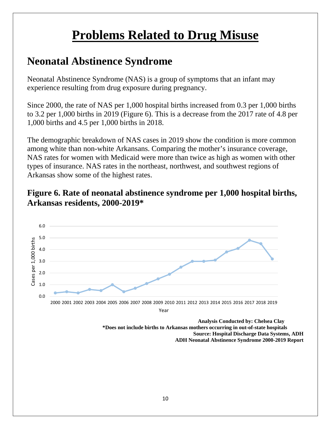## **Problems Related to Drug Misuse**

### **Neonatal Abstinence Syndrome**

Neonatal Abstinence Syndrome (NAS) is a group of symptoms that an infant may experience resulting from drug exposure during pregnancy.

Since 2000, the rate of NAS per 1,000 hospital births increased from 0.3 per 1,000 births to 3.2 per 1,000 births in 2019 (Figure 6). This is a decrease from the 2017 rate of 4.8 per 1,000 births and 4.5 per 1,000 births in 2018.

The demographic breakdown of NAS cases in 2019 show the condition is more common among white than non-white Arkansans. Comparing the mother's insurance coverage, NAS rates for women with Medicaid were more than twice as high as women with other types of insurance. NAS rates in the northeast, northwest, and southwest regions of Arkansas show some of the highest rates.

#### **Figure 6. Rate of neonatal abstinence syndrome per 1,000 hospital births, Arkansas residents, 2000-2019\***



 **\*Does not include births to Arkansas mothers occurring in out-of-state hospitals Source: Hospital Discharge Data Systems, ADH ADH Neonatal Abstinence Syndrome 2000-2019 Report**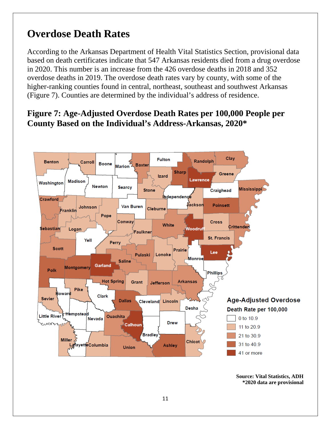### **Overdose Death Rates**

According to the Arkansas Department of Health Vital Statistics Section, provisional data based on death certificates indicate that 547 Arkansas residents died from a drug overdose in 2020. This number is an increase from the 426 overdose deaths in 2018 and 352 overdose deaths in 2019. The overdose death rates vary by county, with some of the higher-ranking counties found in central, northeast, southeast and southwest Arkansas (Figure 7). Counties are determined by the individual's address of residence.

#### **Figure 7: Age-Adjusted Overdose Death Rates per 100,000 People per County Based on the Individual's Address-Arkansas, 2020\***



**Source: Vital Statistics, ADH \*2020 data are provisional**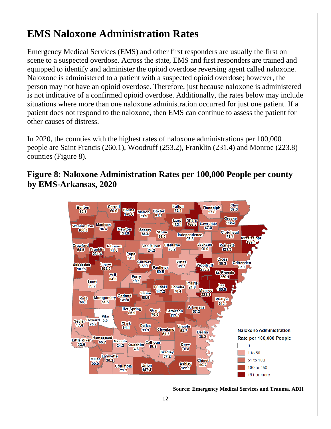### **EMS Naloxone Administration Rates**

Emergency Medical Services (EMS) and other first responders are usually the first on scene to a suspected overdose. Across the state, EMS and first responders are trained and equipped to identify and administer the opioid overdose reversing agent called naloxone. Naloxone is administered to a patient with a suspected opioid overdose; however, the person may not have an opioid overdose. Therefore, just because naloxone is administered is not indicative of a confirmed opioid overdose. Additionally, the rates below may include situations where more than one naloxone administration occurred for just one patient. If a patient does not respond to the naloxone, then EMS can continue to assess the patient for other causes of distress.

In 2020, the counties with the highest rates of naloxone administrations per 100,000 people are Saint Francis (260.1), Woodruff (253.2), Franklin (231.4) and Monroe (223.8) counties (Figure 8).

**Figure 8: Naloxone Administration Rates per 100,000 People per county by EMS-Arkansas, 2020**



**Source: Emergency Medical Services and Trauma, ADH**